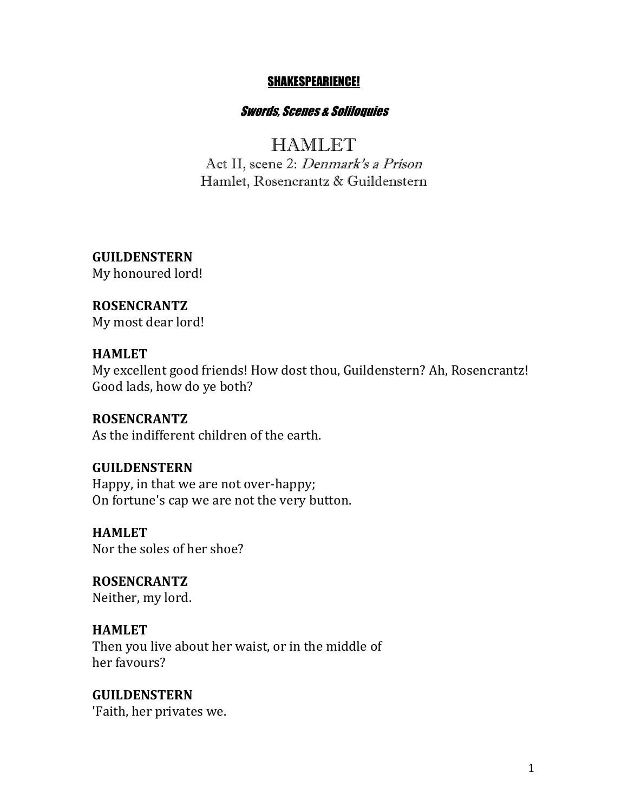#### SHAKESPEARIENCE!

#### Swords, Scenes & Soliloquies

# **HAMLET**

Act II, scene 2: Denmark's a Prison Hamlet, Rosencrantz & Guildenstern

**GUILDENSTERN** My honoured lord!

## **ROSENCRANTZ**

My most dear lord!

#### **HAMLET**

My excellent good friends! How dost thou, Guildenstern? Ah, Rosencrantz! Good lads, how do ye both?

### **ROSENCRANTZ**

As the indifferent children of the earth.

#### **GUILDENSTERN**

Happy, in that we are not over-happy; On fortune's cap we are not the very button.

**HAMLET**

Nor the soles of her shoe?

**ROSENCRANTZ** Neither, my lord.

#### **HAMLET**

Then you live about her waist, or in the middle of her favours?

**GUILDENSTERN** 'Faith, her privates we.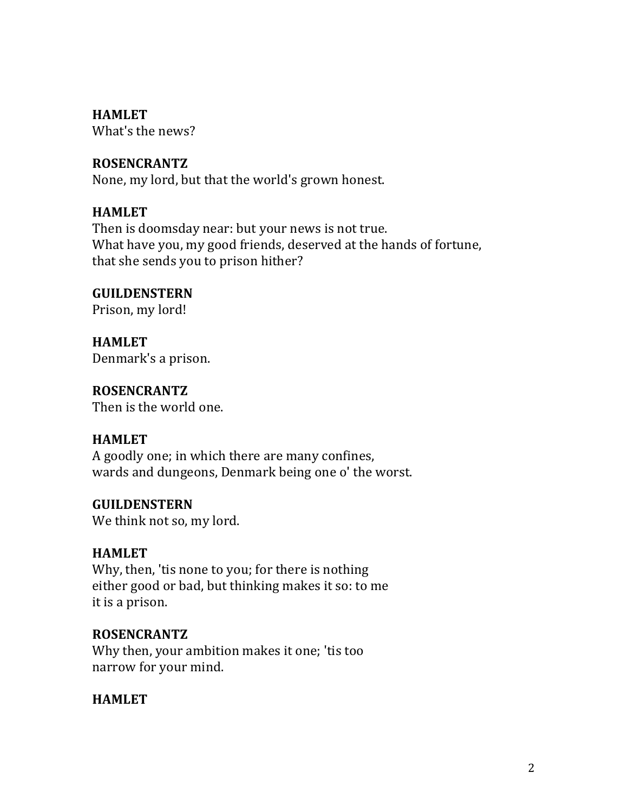**HAMLET**

What's the news?

## **ROSENCRANTZ**

None, my lord, but that the world's grown honest.

## **HAMLET**

Then is doomsday near: but your news is not true. What have you, my good friends, deserved at the hands of fortune, that she sends you to prison hither?

**GUILDENSTERN** Prison, my lord!

**HAMLET** Denmark's a prison.

**ROSENCRANTZ** Then is the world one.

## **HAMLET**

A goodly one; in which there are many confines, wards and dungeons, Denmark being one o' the worst.

## **GUILDENSTERN**

We think not so, my lord.

## **HAMLET**

Why, then, 'tis none to you; for there is nothing either good or bad, but thinking makes it so: to me it is a prison.

## **ROSENCRANTZ**

Why then, your ambition makes it one; 'tis too narrow for your mind.

## **HAMLET**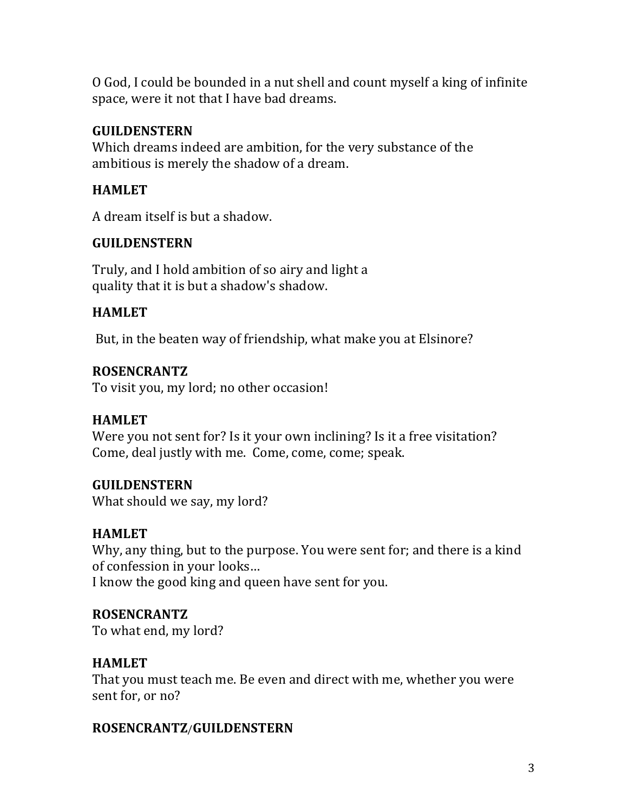O God, I could be bounded in a nut shell and count myself a king of infinite space, were it not that I have bad dreams.

## **GUILDENSTERN**

Which dreams indeed are ambition, for the very substance of the ambitious is merely the shadow of a dream.

## **HAMLET**

A dream itself is but a shadow.

## **GUILDENSTERN**

Truly, and I hold ambition of so airy and light a quality that it is but a shadow's shadow.

## **HAMLET**

But, in the beaten way of friendship, what make you at Elsinore?

## **ROSENCRANTZ**

To visit you, my lord; no other occasion!

## **HAMLET**

Were you not sent for? Is it your own inclining? Is it a free visitation? Come, deal justly with me. Come, come, come; speak.

## **GUILDENSTERN**

What should we say, my lord?

## **HAMLET**

Why, any thing, but to the purpose. You were sent for; and there is a kind of confession in your looks...

I know the good king and queen have sent for you.

## **ROSENCRANTZ**

To what end, my lord?

## **HAMLET**

That you must teach me. Be even and direct with me, whether you were sent for, or no?

## **ROSENCRANTZ**/**GUILDENSTERN**